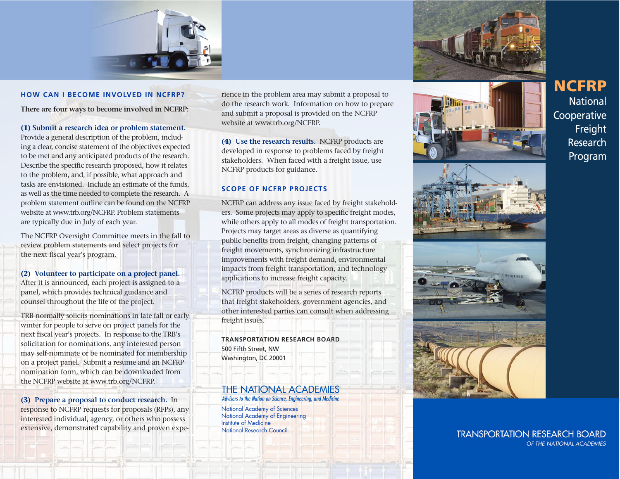

#### **HOW CAN I BECOME INVOLVED IN NCFRP?**

**There are four ways to become involved in NCFRP:**

### **(1) Submit a research idea or problem statement.**

Provide a general description of the problem, including a clear, concise statement of the objectives expected to be met and any anticipated products of the research. Describe the specific research proposed, how it relates to the problem, and, if possible, what approach and tasks are envisioned. Include an estimate of the funds, as well as the time needed to complete the research. A problem statement outline can be found on the NCFRP website at www.trb.org/NCFRP. Problem statements are typically due in July of each year.

The NCFRP Oversight Committee meets in the fall to review problem statements and select projects for the next fiscal year's program.

### **(2) Volunteer to participate on a project panel.**

After it is announced, each project is assigned to a panel, which provides technical guidance and counsel throughout the life of the project.

TRB normally solicits nominations in late fall or early winter for people to serve on project panels for the next fiscal year's projects. In response to the TRB's solicitation for nominations, any interested person may self-nominate or be nominated for membership on a project panel. Submit a resume and an NCFRP nomination form, which can be downloaded from the NCFRP website at www.trb.org/NCFRP.

**(3) Prepare a proposal to conduct research.** In response to NCFRP requests for proposals (RFPs), any interested individual, agency, or others who possess extensive, demonstrated capability and proven expe -

rience in the problem area may submit a proposal to do the research work. Information on how to prepare and submit a proposal is provided on the NCFRP website at www.trb.org/NCFRP.

**(4) Use the research results.** NCFRP products are developed in response to problems faced by freight stakeholders. When faced with a freight issue, use NCFRP products for guidance.

## **SCOPE OF NCFRP PROJECTS**

NCFRP can address any issue faced by freight stakeholders. Some projects may apply to specific freight modes, while others apply to all modes of freight transportation. Projects may target areas as diverse as quantifying public benefits from freight, changing patterns of freight movements, synchronizing infrastructure improvements with freight demand, environmental impacts from freight transportation, and technology applications to increase freight capacity.

NCFRP products will be a series of research reports that freight stakeholders, government agencies, and other interested parties can consult when addressing freight issues.

**TRANSPORTATION RESEARCH BOARD** 500 Fifth Street, NW Washington, DC 20001

### **THE NATIONAL ACADEMIES** Advisers to the Nation on Science, Engineering, and Medicine

National Academy of Sciences National Academy of Engineering Institute of Medicine National Research Council











# **TRANSPORTATION RESEARCH BOARD** OF THE NATIONAL ACADEMIES

**NCFRP National Cooperative** Freight Research Program